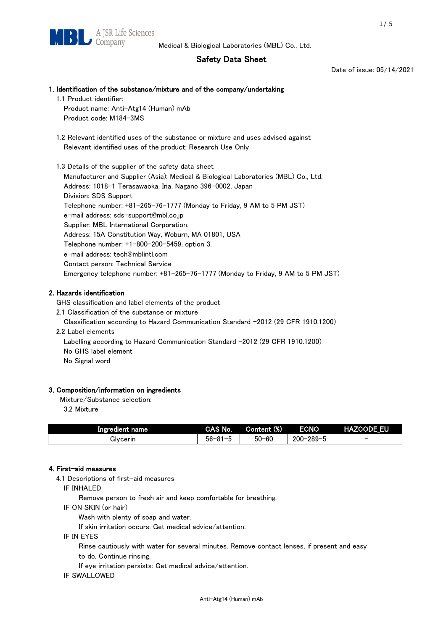# Safety Data Sheet

Date of issue: 05/14/2021

# 1. Identification of the substance/mixture and of the company/undertaking 1.1 Product identifier:

Product name: Anti-Atg14 (Human) mAb Product code: M184-3MS

 1.2 Relevant identified uses of the substance or mixture and uses advised against Relevant identified uses of the product: Research Use Only

 1.3 Details of the supplier of the safety data sheet Manufacturer and Supplier (Asia): Medical & Biological Laboratories (MBL) Co., Ltd. Address: 1018-1 Terasawaoka, Ina, Nagano 396-0002, Japan Division: SDS Support Telephone number: +81-265-76-1777 (Monday to Friday, 9 AM to 5 PM JST) e-mail address: sds-support@mbl.co.jp Supplier: MBL International Corporation. Address: 15A Constitution Way, Woburn, MA 01801, USA Telephone number: +1-800-200-5459, option 3. e-mail address: tech@mblintl.com Contact person: Technical Service Emergency telephone number: +81-265-76-1777 (Monday to Friday, 9 AM to 5 PM JST)

# 2. Hazards identification

GHS classification and label elements of the product

2.1 Classification of the substance or mixture

Classification according to Hazard Communication Standard -2012 (29 CFR 1910.1200)

2.2 Label elements

Labelling according to Hazard Communication Standard -2012 (29 CFR 1910.1200) No GHS label element

No Signal word

## 3. Composition/information on ingredients

Mixture/Substance selection:

3.2 Mixture

| Ingredient name | CAS No.             | Content (%) | <b>ECNO</b>                                              | <b>HAZCODE_EU</b>        |
|-----------------|---------------------|-------------|----------------------------------------------------------|--------------------------|
| Glvcerin        | $56 - 81 -$<br>ິບ ເ | $50 - 60$   | $-289 - 1$<br>$200 - 2$<br>$\overline{\phantom{0}}$<br>v | $\overline{\phantom{0}}$ |

## 4. First-aid measures

4.1 Descriptions of first-aid measures

IF INHALED

Remove person to fresh air and keep comfortable for breathing.

IF ON SKIN (or hair)

Wash with plenty of soap and water.

If skin irritation occurs: Get medical advice/attention.

IF IN EYES

Rinse cautiously with water for several minutes. Remove contact lenses, if present and easy

to do. Continue rinsing.

If eye irritation persists: Get medical advice/attention.

## IF SWALLOWED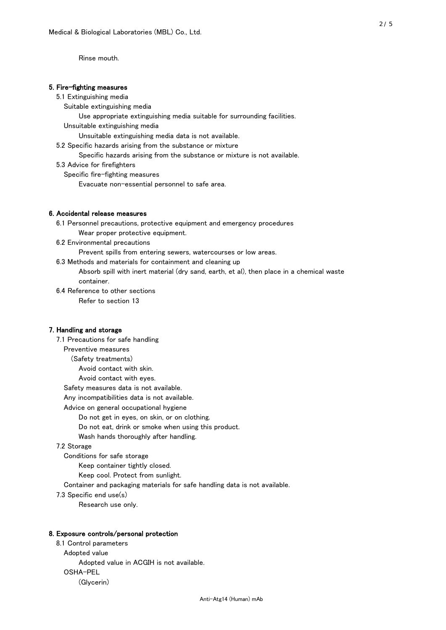Rinse mouth.

### 5. Fire-fighting measures

#### 5.1 Extinguishing media

Suitable extinguishing media

- Use appropriate extinguishing media suitable for surrounding facilities.
- Unsuitable extinguishing media

Unsuitable extinguishing media data is not available.

5.2 Specific hazards arising from the substance or mixture

Specific hazards arising from the substance or mixture is not available.

5.3 Advice for firefighters

Specific fire-fighting measures

Evacuate non-essential personnel to safe area.

### 6. Accidental release measures

 6.1 Personnel precautions, protective equipment and emergency procedures Wear proper protective equipment.

6.2 Environmental precautions

Prevent spills from entering sewers, watercourses or low areas.

6.3 Methods and materials for containment and cleaning up

 Absorb spill with inert material (dry sand, earth, et al), then place in a chemical waste container.

6.4 Reference to other sections

Refer to section 13

## 7. Handling and storage

 7.1 Precautions for safe handling Preventive measures (Safety treatments) Avoid contact with skin. Avoid contact with eyes. Safety measures data is not available. Any incompatibilities data is not available. Advice on general occupational hygiene Do not get in eyes, on skin, or on clothing. Do not eat, drink or smoke when using this product. Wash hands thoroughly after handling. 7.2 Storage Conditions for safe storage Keep container tightly closed.

Keep cool. Protect from sunlight.

Container and packaging materials for safe handling data is not available.

7.3 Specific end use(s)

Research use only.

#### 8. Exposure controls/personal protection

 8.1 Control parameters Adopted value Adopted value in ACGIH is not available. OSHA-PEL (Glycerin)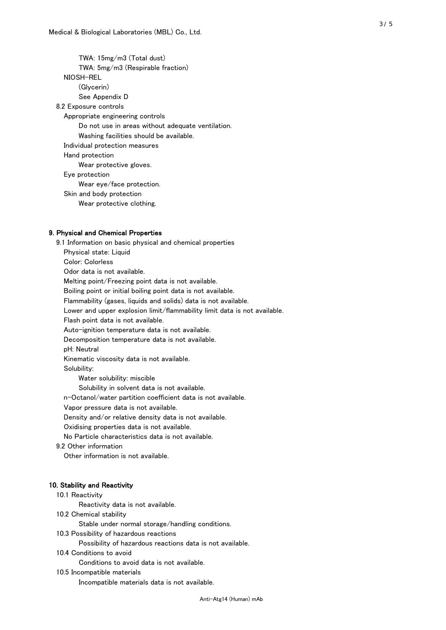TWA: 15mg/m3 (Total dust) TWA: 5mg/m3 (Respirable fraction) NIOSH-REL (Glycerin) See Appendix D 8.2 Exposure controls Appropriate engineering controls Do not use in areas without adequate ventilation. Washing facilities should be available. Individual protection measures Hand protection Wear protective gloves. Eye protection Wear eye/face protection. Skin and body protection Wear protective clothing.

## 9. Physical and Chemical Properties

 9.1 Information on basic physical and chemical properties Physical state: Liquid Color: Colorless Odor data is not available. Melting point/Freezing point data is not available. Boiling point or initial boiling point data is not available. Flammability (gases, liquids and solids) data is not available. Lower and upper explosion limit/flammability limit data is not available. Flash point data is not available. Auto-ignition temperature data is not available. Decomposition temperature data is not available. pH: Neutral Kinematic viscosity data is not available. Solubility: Water solubility: miscible Solubility in solvent data is not available. n-Octanol/water partition coefficient data is not available. Vapor pressure data is not available. Density and/or relative density data is not available. Oxidising properties data is not available. No Particle characteristics data is not available. 9.2 Other information Other information is not available. 10. Stability and Reactivity 10.1 Reactivity Reactivity data is not available. 10.2 Chemical stability Stable under normal storage/handling conditions. 10.3 Possibility of hazardous reactions

Possibility of hazardous reactions data is not available.

### 10.4 Conditions to avoid

Conditions to avoid data is not available.

#### 10.5 Incompatible materials

Incompatible materials data is not available.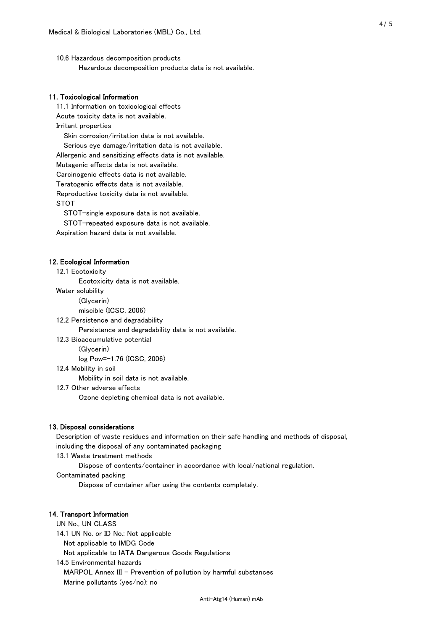10.6 Hazardous decomposition products Hazardous decomposition products data is not available.

## 11. Toxicological Information

 11.1 Information on toxicological effects Acute toxicity data is not available. Irritant properties Skin corrosion/irritation data is not available. Serious eye damage/irritation data is not available. Allergenic and sensitizing effects data is not available. Mutagenic effects data is not available. Carcinogenic effects data is not available. Teratogenic effects data is not available. Reproductive toxicity data is not available. STOT

STOT-single exposure data is not available.

STOT-repeated exposure data is not available.

Aspiration hazard data is not available.

#### 12. Ecological Information

12.1 Ecotoxicity

Ecotoxicity data is not available.

Water solubility

(Glycerin)

miscible (ICSC, 2006)

12.2 Persistence and degradability

Persistence and degradability data is not available.

12.3 Bioaccumulative potential

(Glycerin)

log Pow=-1.76 (ICSC, 2006)

12.4 Mobility in soil

Mobility in soil data is not available.

12.7 Other adverse effects

Ozone depleting chemical data is not available.

#### 13. Disposal considerations

 Description of waste residues and information on their safe handling and methods of disposal, including the disposal of any contaminated packaging

13.1 Waste treatment methods

Dispose of contents/container in accordance with local/national regulation.

Contaminated packing

Dispose of container after using the contents completely.

### 14. Transport Information

 UN No., UN CLASS 14.1 UN No. or ID No.: Not applicable Not applicable to IMDG Code Not applicable to IATA Dangerous Goods Regulations

 14.5 Environmental hazards MARPOL Annex III - Prevention of pollution by harmful substances Marine pollutants (yes/no): no